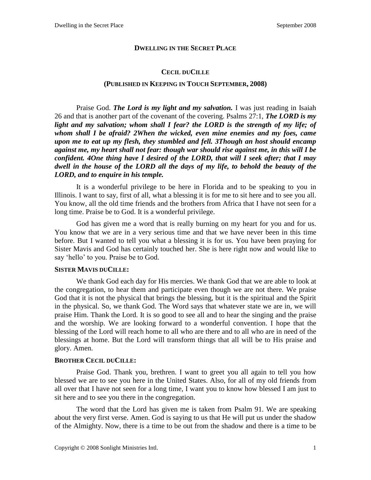## **DWELLING IN THE SECRET PLACE**

## **CECIL DUCILLE**

### **(PUBLISHED IN KEEPING IN TOUCH SEPTEMBER, 2008)**

Praise God. *The Lord is my light and my salvation.* I was just reading in Isaiah 26 and that is another part of the covenant of the covering. Psalms 27:1, *The LORD is my light and my salvation; whom shall I fear? the LORD is the strength of my life; of whom shall I be afraid? 2When the wicked, even mine enemies and my foes, came upon me to eat up my flesh, they stumbled and fell. 3Though an host should encamp against me, my heart shall not fear: though war should rise against me, in this will I be confident. 4One thing have I desired of the LORD, that will I seek after; that I may dwell in the house of the LORD all the days of my life, to behold the beauty of the LORD, and to enquire in his temple.*

It is a wonderful privilege to be here in Florida and to be speaking to you in Illinois. I want to say, first of all, what a blessing it is for me to sit here and to see you all. You know, all the old time friends and the brothers from Africa that I have not seen for a long time. Praise be to God. It is a wonderful privilege.

God has given me a word that is really burning on my heart for you and for us. You know that we are in a very serious time and that we have never been in this time before. But I wanted to tell you what a blessing it is for us. You have been praying for Sister Mavis and God has certainly touched her. She is here right now and would like to say 'hello' to you. Praise be to God.

### **SISTER MAVIS DUCILLE:**

We thank God each day for His mercies. We thank God that we are able to look at the congregation, to hear them and participate even though we are not there. We praise God that it is not the physical that brings the blessing, but it is the spiritual and the Spirit in the physical. So, we thank God. The Word says that whatever state we are in, we will praise Him. Thank the Lord. It is so good to see all and to hear the singing and the praise and the worship. We are looking forward to a wonderful convention. I hope that the blessing of the Lord will reach home to all who are there and to all who are in need of the blessings at home. But the Lord will transform things that all will be to His praise and glory. Amen.

# **BROTHER CECIL DUCILLE:**

Praise God. Thank you, brethren. I want to greet you all again to tell you how blessed we are to see you here in the United States. Also, for all of my old friends from all over that I have not seen for a long time, I want you to know how blessed I am just to sit here and to see you there in the congregation.

The word that the Lord has given me is taken from Psalm 91. We are speaking about the very first verse. Amen. God is saying to us that He will put us under the shadow of the Almighty. Now, there is a time to be out from the shadow and there is a time to be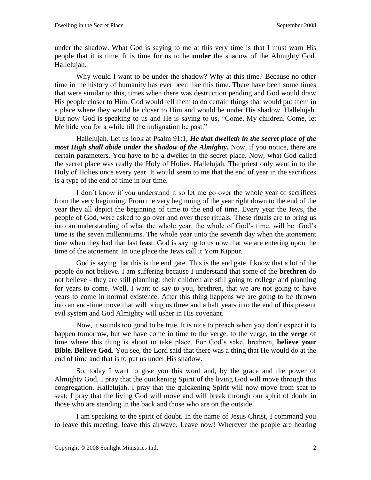under the shadow. What God is saying to me at this very time is that I must warn His people that it is time. It is time for us to be **under** the shadow of the Almighty God. Hallelujah.

Why would I want to be under the shadow? Why at this time? Because no other time in the history of humanity has ever been like this time. There have been some times that were similar to this, times when there was destruction pending and God would draw His people closer to Him. God would tell them to do certain things that would put them in a place where they would be closer to Him and would be under His shadow. Hallelujah. But now God is speaking to us and He is saying to us, "Come, My children. Come, let Me hide you for a while till the indignation be past."

Hallelujah. Let us look at Psalm 91:1, *He that dwelleth in the secret place of the most High shall abide under the shadow of the Almighty.* Now, if you notice, there are certain parameters. You have to be a dweller in the secret place. Now, what God called the secret place was really the Holy of Holies. Hallelujah. The priest only went in to the Holy of Holies once every year. It would seem to me that the end of year in the sacrifices is a type of the end of time in our time.

I don't know if you understand it so let me go over the whole year of sacrifices from the very beginning. From the very beginning of the year right down to the end of the year they all depict the beginning of time to the end of time. Every year the Jews, the people of God, were asked to go over and over these rituals. These rituals are to bring us into an understanding of what the whole year, the whole of God's time, will be. God's time is the seven millenniums. The whole year unto the seventh day when the atonement time when they had that last feast. God is saying to us now that we are entering upon the time of the atonement. In one place the Jews call it Yom Kippur.

God is saying that this is the end gate. This is the end gate. I know that a lot of the people do not believe. I am suffering because I understand that some of the **brethren** do not believe - they are still planning; their children are still going to college and planning for years to come. Well, I want to say to you, brethren, that we are not going to have years to come in normal existence. After this thing happens we are going to be thrown into an end-time move that will bring us three and a half years into the end of this present evil system and God Almighty will usher in His covenant.

Now, it sounds too good to be true. It is nice to preach when you don't expect it to happen tomorrow, but we have come in time to the verge, to the verge, **to the verge** of time where this thing is about to take place. For God's sake, brethren, **believe your Bible. Believe God**. You see, the Lord said that there was a thing that He would do at the end of time and that is to put us under His shadow.

So, today I want to give you this word and, by the grace and the power of Almighty God, I pray that the quickening Spirit of the living God will move through this congregation. Hallelujah. I pray that the quickening Spirit will now move from seat to seat; I pray that the living God will move and will break through our spirit of doubt in those who are standing in the back and those who are on the outside.

I am speaking to the spirit of doubt. In the name of Jesus Christ, I command you to leave this meeting, leave this airwave. Leave now! Wherever the people are hearing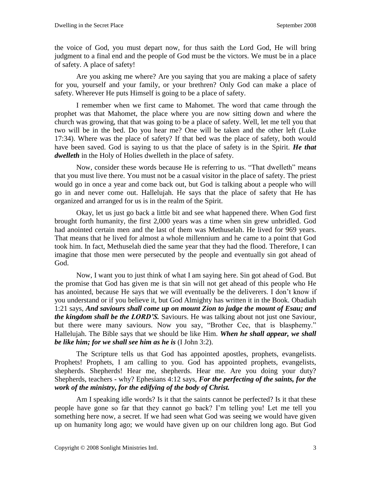the voice of God, you must depart now, for thus saith the Lord God, He will bring judgment to a final end and the people of God must be the victors. We must be in a place of safety. A place of safety!

Are you asking me where? Are you saying that you are making a place of safety for you, yourself and your family, or your brethren? Only God can make a place of safety. Wherever He puts Himself is going to be a place of safety.

I remember when we first came to Mahomet. The word that came through the prophet was that Mahomet, the place where you are now sitting down and where the church was growing, that that was going to be a place of safety. Well, let me tell you that two will be in the bed. Do you hear me? One will be taken and the other left (Luke 17:34). Where was the place of safety? If that bed was the place of safety, both would have been saved. God is saying to us that the place of safety is in the Spirit. *He that dwelleth* in the Holy of Holies dwelleth in the place of safety.

Now, consider these words because He is referring to us. "That dwelleth" means that you must live there. You must not be a casual visitor in the place of safety. The priest would go in once a year and come back out, but God is talking about a people who will go in and never come out. Hallelujah. He says that the place of safety that He has organized and arranged for us is in the realm of the Spirit.

Okay, let us just go back a little bit and see what happened there. When God first brought forth humanity, the first 2,000 years was a time when sin grew unbridled. God had anointed certain men and the last of them was Methuselah. He lived for 969 years. That means that he lived for almost a whole millennium and he came to a point that God took him. In fact, Methuselah died the same year that they had the flood. Therefore, I can imagine that those men were persecuted by the people and eventually sin got ahead of God.

Now, I want you to just think of what I am saying here. Sin got ahead of God. But the promise that God has given me is that sin will not get ahead of this people who He has anointed, because He says that we will eventually be the deliverers. I don't know if you understand or if you believe it, but God Almighty has written it in the Book. Obadiah 1:21 says, *And saviours shall come up on mount Zion to judge the mount of Esau; and the kingdom shall be the LORD'S.* Saviours. He was talking about not just one Saviour, but there were many saviours. Now you say, "Brother Cec, that is blasphemy." Hallelujah. The Bible says that we should be like Him. *When he shall appear, we shall be like him; for we shall see him as he is* (I John 3:2).

The Scripture tells us that God has appointed apostles, prophets, evangelists. Prophets! Prophets, I am calling to you. God has appointed prophets, evangelists, shepherds. Shepherds! Hear me, shepherds. Hear me. Are you doing your duty? Shepherds, teachers - why? Ephesians 4:12 says, *For the perfecting of the saints, for the work of the ministry, for the edifying of the body of Christ.*

Am I speaking idle words? Is it that the saints cannot be perfected? Is it that these people have gone so far that they cannot go back? I'm telling you! Let me tell you something here now, a secret. If we had seen what God was seeing we would have given up on humanity long ago; we would have given up on our children long ago. But God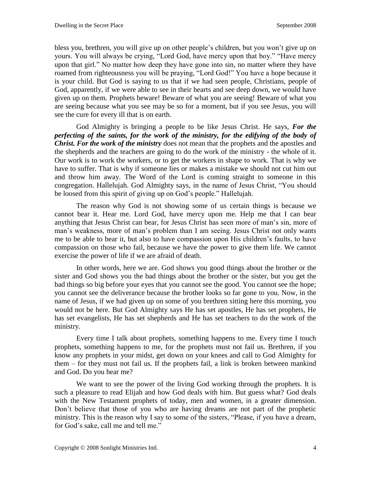bless you, brethren, you will give up on other people's children, but you won't give up on yours. You will always be crying, "Lord God, have mercy upon that boy." "Have mercy upon that girl." No matter how deep they have gone into sin, no matter where they have roamed from righteousness you will be praying, "Lord God!" You have a hope because it is your child. But God is saying to us that if we had seen people, Christians, people of God, apparently, if we were able to see in their hearts and see deep down, we would have given up on them. Prophets beware! Beware of what you are seeing! Beware of what you are seeing because what you see may be so for a moment, but if you see Jesus, you will see the cure for every ill that is on earth.

God Almighty is bringing a people to be like Jesus Christ. He says, *For the perfecting of the saints, for the work of the ministry, for the edifying of the body of Christ. For the work of the ministry* does not mean that the prophets and the apostles and the shepherds and the teachers are going to do the work of the ministry - the whole of it. Our work is to work the workers, or to get the workers in shape to work. That is why we have to suffer. That is why if someone lies or makes a mistake we should not cut him out and throw him away. The Word of the Lord is coming straight to someone in this congregation. Hallelujah. God Almighty says, in the name of Jesus Christ, "You should be loosed from this spirit of giving up on God's people." Hallelujah.

The reason why God is not showing some of us certain things is because we cannot bear it. Hear me. Lord God, have mercy upon me. Help me that I can bear anything that Jesus Christ can bear, for Jesus Christ has seen more of man's sin, more of man's weakness, more of man's problem than I am seeing. Jesus Christ not only wants me to be able to bear it, but also to have compassion upon His children's faults, to have compassion on those who fail, because we have the power to give them life. We cannot exercise the power of life if we are afraid of death.

In other words, here we are. God shows you good things about the brother or the sister and God shows you the bad things about the brother or the sister, but you get the bad things so big before your eyes that you cannot see the good. You cannot see the hope; you cannot see the deliverance because the brother looks so far gone to you. Now, in the name of Jesus, if we had given up on some of you brethren sitting here this morning, you would not be here. But God Almighty says He has set apostles, He has set prophets, He has set evangelists, He has set shepherds and He has set teachers to do the work of the ministry.

Every time I talk about prophets, something happens to me. Every time I touch prophets, something happens to me, for the prophets must not fail us. Brethren, if you know any prophets in your midst, get down on your knees and call to God Almighty for them – for they must not fail us. If the prophets fail, a link is broken between mankind and God. Do you hear me?

We want to see the power of the living God working through the prophets. It is such a pleasure to read Elijah and how God deals with him. But guess what? God deals with the New Testament prophets of today, men and women, in a greater dimension. Don't believe that those of you who are having dreams are not part of the prophetic ministry. This is the reason why I say to some of the sisters, "Please, if you have a dream, for God's sake, call me and tell me."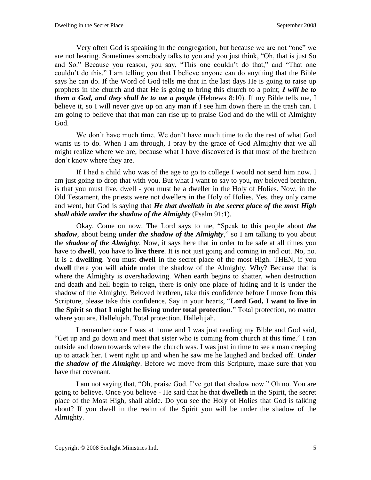Very often God is speaking in the congregation, but because we are not "one" we are not hearing. Sometimes somebody talks to you and you just think, "Oh, that is just So and So." Because you reason, you say, "This one couldn't do that," and "That one couldn't do this." I am telling you that I believe anyone can do anything that the Bible says he can do. If the Word of God tells me that in the last days He is going to raise up prophets in the church and that He is going to bring this church to a point; *I will be to them a God, and they shall be to me a people* (Hebrews 8:10). If my Bible tells me, I believe it, so I will never give up on any man if I see him down there in the trash can. I am going to believe that that man can rise up to praise God and do the will of Almighty God.

We don't have much time. We don't have much time to do the rest of what God wants us to do. When I am through, I pray by the grace of God Almighty that we all might realize where we are, because what I have discovered is that most of the brethren don't know where they are.

If I had a child who was of the age to go to college I would not send him now. I am just going to drop that with you. But what I want to say to you, my beloved brethren, is that you must live, dwell - you must be a dweller in the Holy of Holies. Now, in the Old Testament, the priests were not dwellers in the Holy of Holies. Yes, they only came and went, but God is saying that *He that dwelleth in the secret place of the most High shall abide under the shadow of the Almighty* (Psalm 91:1).

Okay. Come on now. The Lord says to me, "Speak to this people about *the shadow*, about being *under the shadow of the Almighty*," so I am talking to you about the *shadow of the Almighty*. Now, it says here that in order to be safe at all times you have to **dwell**, you have to **live there**. It is not just going and coming in and out. No, no. It is a **dwelling**. You must **dwell** in the secret place of the most High. THEN, if you **dwell** there you will **abide** under the shadow of the Almighty. Why? Because that is where the Almighty is overshadowing. When earth begins to shatter, when destruction and death and hell begin to reign, there is only one place of hiding and it is under the shadow of the Almighty. Beloved brethren, take this confidence before I move from this Scripture, please take this confidence. Say in your hearts, "**Lord God, I want to live in the Spirit so that I might be living under total protection**." Total protection, no matter where you are. Hallelujah. Total protection. Hallelujah.

I remember once I was at home and I was just reading my Bible and God said, "Get up and go down and meet that sister who is coming from church at this time." I ran outside and down towards where the church was. I was just in time to see a man creeping up to attack her. I went right up and when he saw me he laughed and backed off. *Under the shadow of the Almighty*. Before we move from this Scripture, make sure that you have that covenant.

I am not saying that, "Oh, praise God. I've got that shadow now." Oh no. You are going to believe. Once you believe - He said that he that **dwelleth** in the Spirit, the secret place of the Most High, shall abide. Do you see the Holy of Holies that God is talking about? If you dwell in the realm of the Spirit you will be under the shadow of the Almighty.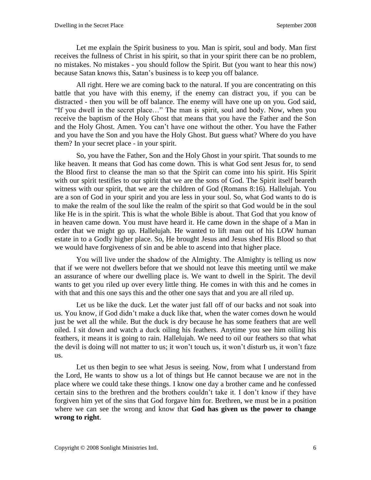Let me explain the Spirit business to you. Man is spirit, soul and body. Man first receives the fullness of Christ in his spirit, so that in your spirit there can be no problem, no mistakes. No mistakes - you should follow the Spirit. But (you want to hear this now) because Satan knows this, Satan's business is to keep you off balance.

All right. Here we are coming back to the natural. If you are concentrating on this battle that you have with this enemy, if the enemy can distract you, if you can be distracted - then you will be off balance. The enemy will have one up on you. God said, "If you dwell in the secret place…" The man is spirit, soul and body. Now, when you receive the baptism of the Holy Ghost that means that you have the Father and the Son and the Holy Ghost. Amen. You can't have one without the other. You have the Father and you have the Son and you have the Holy Ghost. But guess what? Where do you have them? In your secret place - in your spirit.

So, you have the Father, Son and the Holy Ghost in your spirit. That sounds to me like heaven. It means that God has come down. This is what God sent Jesus for, to send the Blood first to cleanse the man so that the Spirit can come into his spirit. His Spirit with our spirit testifies to our spirit that we are the sons of God. The Spirit itself beareth witness with our spirit, that we are the children of God (Romans 8:16). Hallelujah. You are a son of God in your spirit and you are less in your soul. So, what God wants to do is to make the realm of the soul like the realm of the spirit so that God would be in the soul like He is in the spirit. This is what the whole Bible is about. That God that you know of in heaven came down. You must have heard it. He came down in the shape of a Man in order that we might go up. Hallelujah. He wanted to lift man out of his LOW human estate in to a Godly higher place. So, He brought Jesus and Jesus shed His Blood so that we would have forgiveness of sin and be able to ascend into that higher place.

You will live under the shadow of the Almighty. The Almighty is telling us now that if we were not dwellers before that we should not leave this meeting until we make an assurance of where our dwelling place is. We want to dwell in the Spirit. The devil wants to get you riled up over every little thing. He comes in with this and he comes in with that and this one says this and the other one says that and you are all riled up.

Let us be like the duck. Let the water just fall off of our backs and not soak into us. You know, if God didn't make a duck like that, when the water comes down he would just be wet all the while. But the duck is dry because he has some feathers that are well oiled. I sit down and watch a duck oiling his feathers. Anytime you see him oiling his feathers, it means it is going to rain. Hallelujah. We need to oil our feathers so that what the devil is doing will not matter to us; it won't touch us, it won't disturb us, it won't faze us.

Let us then begin to see what Jesus is seeing. Now, from what I understand from the Lord, He wants to show us a lot of things but He cannot because we are not in the place where we could take these things. I know one day a brother came and he confessed certain sins to the brethren and the brothers couldn't take it. I don't know if they have forgiven him yet of the sins that God forgave him for. Brethren, we must be in a position where we can see the wrong and know that **God has given us the power to change wrong to right**.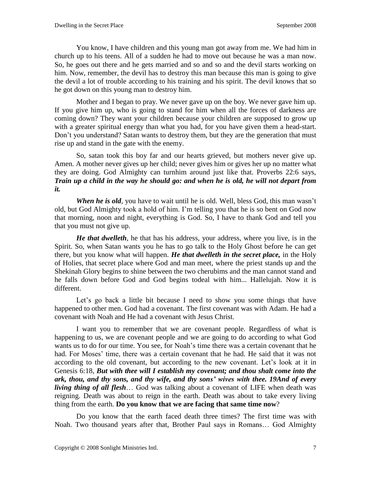You know, I have children and this young man got away from me. We had him in church up to his teens. All of a sudden he had to move out because he was a man now. So, he goes out there and he gets married and so and so and the devil starts working on him. Now, remember, the devil has to destroy this man because this man is going to give the devil a lot of trouble according to his training and his spirit. The devil knows that so he got down on this young man to destroy him.

Mother and I began to pray. We never gave up on the boy. We never gave him up. If you give him up, who is going to stand for him when all the forces of darkness are coming down? They want your children because your children are supposed to grow up with a greater spiritual energy than what you had, for you have given them a head-start. Don't you understand? Satan wants to destroy them, but they are the generation that must rise up and stand in the gate with the enemy.

So, satan took this boy far and our hearts grieved, but mothers never give up. Amen. A mother never gives up her child; never gives him or gives her up no matter what they are doing. God Almighty can turnhim around just like that. Proverbs 22:6 says, *Train up a child in the way he should go: and when he is old, he will not depart from it.*

*When he is old*, you have to wait until he is old. Well, bless God, this man wasn't old, but God Almighty took a hold of him. I'm telling you that he is so bent on God now that morning, noon and night, everything is God. So, I have to thank God and tell you that you must not give up.

*He that dwelleth*, he that has his address, your address, where you live, is in the Spirit. So, when Satan wants you he has to go talk to the Holy Ghost before he can get there, but you know what will happen. *He that dwelleth in the secret place,* in the Holy of Holies, that secret place where God and man meet, where the priest stands up and the Shekinah Glory begins to shine between the two cherubims and the man cannot stand and he falls down before God and God begins todeal with him... Hallelujah. Now it is different.

Let's go back a little bit because I need to show you some things that have happened to other men. God had a covenant. The first covenant was with Adam. He had a covenant with Noah and He had a covenant with Jesus Christ.

I want you to remember that we are covenant people. Regardless of what is happening to us, we are covenant people and we are going to do according to what God wants us to do for our time. You see, for Noah's time there was a certain covenant that he had. For Moses' time, there was a certain covenant that he had. He said that it was not according to the old covenant, but according to the new covenant. Let's look at it in Genesis 6:18, *But with thee will I establish my covenant; and thou shalt come into the ark, thou, and thy sons, and thy wife, and thy sons' wives with thee. 19And of every living thing of all flesh*… God was talking about a covenant of LIFE when death was reigning. Death was about to reign in the earth. Death was about to take every living thing from the earth. **Do you know that we are facing that same time now**?

Do you know that the earth faced death three times? The first time was with Noah. Two thousand years after that, Brother Paul says in Romans… God Almighty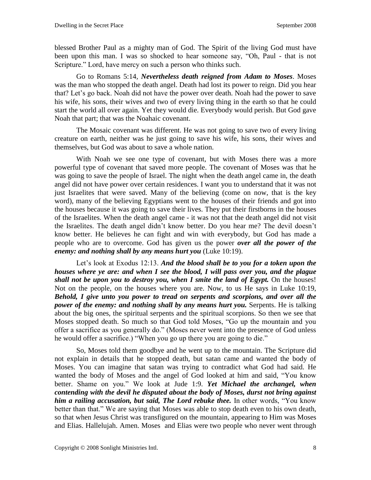blessed Brother Paul as a mighty man of God. The Spirit of the living God must have been upon this man. I was so shocked to hear someone say, "Oh, Paul - that is not Scripture." Lord, have mercy on such a person who thinks such.

Go to Romans 5:14*, Nevertheless death reigned from Adam to Moses*. Moses was the man who stopped the death angel. Death had lost its power to reign. Did you hear that? Let's go back. Noah did not have the power over death. Noah had the power to save his wife, his sons, their wives and two of every living thing in the earth so that he could start the world all over again. Yet they would die. Everybody would perish. But God gave Noah that part; that was the Noahaic covenant.

The Mosaic covenant was different. He was not going to save two of every living creature on earth, neither was he just going to save his wife, his sons, their wives and themselves, but God was about to save a whole nation.

With Noah we see one type of covenant, but with Moses there was a more powerful type of covenant that saved more people. The covenant of Moses was that he was going to save the people of Israel. The night when the death angel came in, the death angel did not have power over certain residences. I want you to understand that it was not just Israelites that were saved. Many of the believing (come on now, that is the key word), many of the believing Egyptians went to the houses of their friends and got into the houses because it was going to save their lives. They put their firstborns in the houses of the Israelites. When the death angel came - it was not that the death angel did not visit the Israelites. The death angel didn't know better. Do you hear me? The devil doesn't know better. He believes he can fight and win with everybody, but God has made a people who are to overcome. God has given us the power *over all the power of the enemy: and nothing shall by any means hurt you* (Luke 10:19).

Let's look at Exodus 12:13. *And the blood shall be to you for a token upon the houses where ye are: and when I see the blood, I will pass over you, and the plague shall not be upon you to destroy you, when I smite the land of Egypt.* On the houses! Not on the people, on the houses where you are. Now, to us He says in Luke 10:19, *Behold, I give unto you power to tread on serpents and scorpions, and over all the power of the enemy: and nothing shall by any means hurt you.* Serpents. He is talking about the big ones, the spiritual serpents and the spiritual scorpions. So then we see that Moses stopped death. So much so that God told Moses, "Go up the mountain and you offer a sacrifice as you generally do." (Moses never went into the presence of God unless he would offer a sacrifice.) "When you go up there you are going to die."

So, Moses told them goodbye and he went up to the mountain. The Scripture did not explain in details that he stopped death, but satan came and wanted the body of Moses. You can imagine that satan was trying to contradict what God had said. He wanted the body of Moses and the angel of God looked at him and said, "You know better. Shame on you." We look at Jude 1:9. *Yet Michael the archangel, when contending with the devil he disputed about the body of Moses, durst not bring against him a railing accusation, but said, The Lord rebuke thee.* In other words, "You know better than that." We are saying that Moses was able to stop death even to his own death, so that when Jesus Christ was transfigured on the mountain, appearing to Him was Moses and Elias. Hallelujah. Amen. Moses and Elias were two people who never went through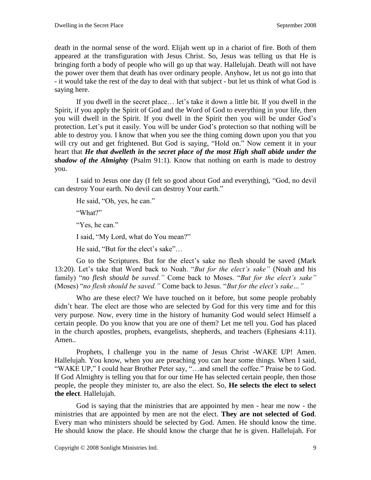death in the normal sense of the word. Elijah went up in a chariot of fire. Both of them appeared at the transfiguration with Jesus Christ. So, Jesus was telling us that He is bringing forth a body of people who will go up that way. Hallelujah. Death will not have the power over them that death has over ordinary people. Anyhow, let us not go into that - it would take the rest of the day to deal with that subject - but let us think of what God is saying here.

If you dwell in the secret place… let's take it down a little bit. If you dwell in the Spirit, if you apply the Spirit of God and the Word of God to everything in your life, then you will dwell in the Spirit. If you dwell in the Spirit then you will be under God's protection. Let's put it easily. You will be under God's protection so that nothing will be able to destroy you. I know that when you see the thing coming down upon you that you will cry out and get frightened. But God is saying, "Hold on." Now cement it in your heart that *He that dwelleth in the secret place of the most High shall abide under the shadow of the Almighty* (Psalm 91:1). Know that nothing on earth is made to destroy you.

I said to Jesus one day (I felt so good about God and everything), "God, no devil can destroy Your earth. No devil can destroy Your earth."

He said, "Oh, yes, he can."

"What?"

"Yes, he can."

I said, "My Lord, what do You mean?"

He said, "But for the elect's sake"…

Go to the Scriptures. But for the elect's sake no flesh should be saved (Mark 13:20). Let's take that Word back to Noah. "*But for the elect's sake"* (Noah and his family) "*no flesh should be saved."* Come back to Moses. "*But for the elect's sake"*  (Moses) "*no flesh should be saved."* Come back to Jesus. "*But for the elect's sake…"*

Who are these elect? We have touched on it before, but some people probably didn't hear. The elect are those who are selected by God for this very time and for this very purpose. Now, every time in the history of humanity God would select Himself a certain people. Do you know that you are one of them? Let me tell you. God has placed in the church apostles, prophets, evangelists, shepherds, and teachers (Ephesians 4:11). Amen..

Prophets, I challenge you in the name of Jesus Christ -WAKE UP! Amen. Hallelujah. You know, when you are preaching you can hear some things. When I said, "WAKE UP," I could hear Brother Peter say, "…and smell the coffee." Praise be to God. If God Almighty is telling you that for our time He has selected certain people, then those people, the people they minister to, are also the elect. So, **He selects the elect to select the elect**. Hallelujah.

God is saying that the ministries that are appointed by men - hear me now - the ministries that are appointed by men are not the elect. **They are not selected of God**. Every man who ministers should be selected by God. Amen. He should know the time. He should know the place. He should know the charge that he is given. Hallelujah. For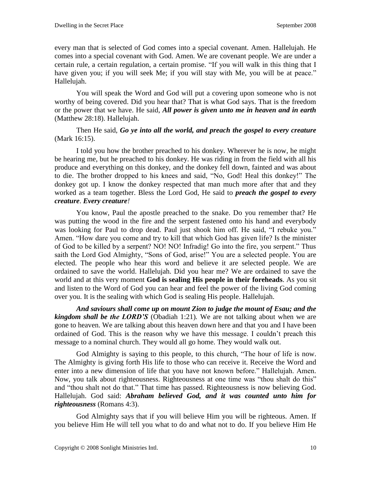every man that is selected of God comes into a special covenant. Amen. Hallelujah. He comes into a special covenant with God. Amen. We are covenant people. We are under a certain rule, a certain regulation, a certain promise. "If you will walk in this thing that I have given you; if you will seek Me; if you will stay with Me, you will be at peace." Hallelujah.

You will speak the Word and God will put a covering upon someone who is not worthy of being covered. Did you hear that? That is what God says. That is the freedom or the power that we have. He said, *All power is given unto me in heaven and in earth*  (Matthew 28:18). Hallelujah.

Then He said, *Go ye into all the world, and preach the gospel to every creature*  (Mark 16:15).

I told you how the brother preached to his donkey. Wherever he is now, he might be hearing me, but he preached to his donkey. He was riding in from the field with all his produce and everything on this donkey, and the donkey fell down, fainted and was about to die. The brother dropped to his knees and said, "No, God! Heal this donkey!" The donkey got up. I know the donkey respected that man much more after that and they worked as a team together. Bless the Lord God, He said to *preach the gospel to every creature*. *Every creature!*

You know, Paul the apostle preached to the snake. Do you remember that? He was putting the wood in the fire and the serpent fastened onto his hand and everybody was looking for Paul to drop dead. Paul just shook him off. He said, "I rebuke you." Amen. "How dare you come and try to kill that which God has given life? Is the minister of God to be killed by a serpent? NO! NO! Infradig! Go into the fire, you serpent." Thus saith the Lord God Almighty, "Sons of God, arise!" You are a selected people. You are elected. The people who hear this word and believe it are selected people. We are ordained to save the world. Hallelujah. Did you hear me? We are ordained to save the world and at this very moment **God is sealing His people in their foreheads**. As you sit and listen to the Word of God you can hear and feel the power of the living God coming over you. It is the sealing with which God is sealing His people. Hallelujah.

*And saviours shall come up on mount Zion to judge the mount of Esau; and the kingdom shall be the LORD'S* (Obadiah 1:21)*.* We are not talking about when we are gone to heaven. We are talking about this heaven down here and that you and I have been ordained of God. This is the reason why we have this message. I couldn't preach this message to a nominal church. They would all go home. They would walk out.

God Almighty is saying to this people, to this church, "The hour of life is now. The Almighty is giving forth His life to those who can receive it. Receive the Word and enter into a new dimension of life that you have not known before." Hallelujah. Amen. Now, you talk about righteousness. Righteousness at one time was "thou shalt do this" and "thou shalt not do that." That time has passed. Righteousness is now believing God. Hallelujah. God said: *Abraham believed God, and it was counted unto him for righteousness* (Romans 4:3).

God Almighty says that if you will believe Him you will be righteous. Amen. If you believe Him He will tell you what to do and what not to do. If you believe Him He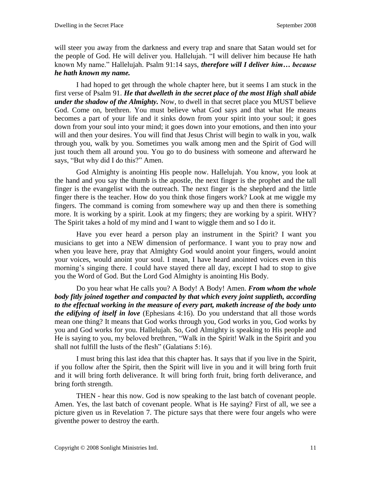will steer you away from the darkness and every trap and snare that Satan would set for the people of God. He will deliver you. Hallelujah. "I will deliver him because He hath known My name." Hallelujah. Psalm 91:14 says, *therefore will I deliver him… because he hath known my name.*

I had hoped to get through the whole chapter here, but it seems I am stuck in the first verse of Psalm 91. *He that dwelleth in the secret place of the most High shall abide under the shadow of the Almighty.* Now, to dwell in that secret place you MUST believe God. Come on, brethren. You must believe what God says and that what He means becomes a part of your life and it sinks down from your spirit into your soul; it goes down from your soul into your mind; it goes down into your emotions, and then into your will and then your desires. You will find that Jesus Christ will begin to walk in you, walk through you, walk by you. Sometimes you walk among men and the Spirit of God will just touch them all around you. You go to do business with someone and afterward he says, "But why did I do this?" Amen.

God Almighty is anointing His people now. Hallelujah. You know, you look at the hand and you say the thumb is the apostle, the next finger is the prophet and the tall finger is the evangelist with the outreach. The next finger is the shepherd and the little finger there is the teacher. How do you think those fingers work? Look at me wiggle my fingers. The command is coming from somewhere way up and then there is something more. It is working by a spirit. Look at my fingers; they are working by a spirit. WHY? The Spirit takes a hold of my mind and I want to wiggle them and so I do it.

Have you ever heard a person play an instrument in the Spirit? I want you musicians to get into a NEW dimension of performance. I want you to pray now and when you leave here, pray that Almighty God would anoint your fingers, would anoint your voices, would anoint your soul. I mean, I have heard anointed voices even in this morning's singing there. I could have stayed there all day, except I had to stop to give you the Word of God. But the Lord God Almighty is anointing His Body.

Do you hear what He calls you? A Body! A Body! Amen. *From whom the whole body fitly joined together and compacted by that which every joint supplieth, according to the effectual working in the measure of every part, maketh increase of the body unto the edifying of itself in love* (Ephesians 4:16). Do you understand that all those words mean one thing? It means that God works through you, God works in you, God works by you and God works for you. Hallelujah. So, God Almighty is speaking to His people and He is saying to you, my beloved brethren, "Walk in the Spirit! Walk in the Spirit and you shall not fulfill the lusts of the flesh" (Galatians 5:16).

I must bring this last idea that this chapter has. It says that if you live in the Spirit, if you follow after the Spirit, then the Spirit will live in you and it will bring forth fruit and it will bring forth deliverance. It will bring forth fruit, bring forth deliverance, and bring forth strength.

THEN - hear this now. God is now speaking to the last batch of covenant people. Amen. Yes, the last batch of covenant people. What is He saying? First of all, we see a picture given us in Revelation 7. The picture says that there were four angels who were giventhe power to destroy the earth.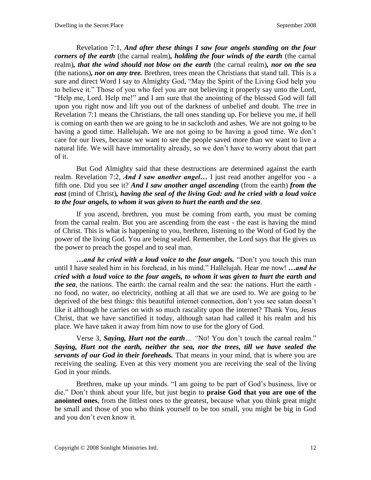Revelation 7:1, *And after these things I saw four angels standing on the four corners of the earth* (the carnal realm)*, holding the four winds of the earth* (the carnal realm)*, that the wind should not blow on the earth* (the carnal realm)*, nor on the sea*  (the nations)*, nor on any tree.* Brethren, trees mean the Christians that stand tall. This is a sure and direct Word I say to Almighty God, "May the Spirit of the Living God help you to believe it." Those of you who feel you are not believing it properly say unto the Lord, "Help me, Lord. Help me!" and I am sure that the anointing of the blessed God will fall upon you right now and lift you out of the darkness of unbelief and doubt. The *tree* in Revelation 7:1 means the Christians, the tall ones standing up. For believe you me, if hell is coming on earth then we are going to be in sackcloth and ashes. We are not going to be having a good time. Hallelujah. We are not going to be having a good time. We don't care for our lives, because we want to see the people saved more than we want to live a natural life. We will have immortality already, so we don't have to worry about that part of it.

But God Almighty said that these destructions are determined against the earth realm. Revelation 7:2, *And I saw another angel…* I just read another angelfor you - a fifth one. Did you see it? *And I saw another angel ascending* (from the earth) *from the east* (mind of Christ)*, having the seal of the living God: and he cried with a loud voice to the four angels, to whom it was given to hurt the earth and the sea*.

If you ascend, brethren, you must be coming from earth, you must be coming from the carnal realm. But you are ascending from the east - the east is having the mind of Christ. This is what is happening to you, brethren, listening to the Word of God by the power of the living God. You are being sealed. Remember, the Lord says that He gives us the power to preach the gospel and to seal man.

*…and he cried with a loud voice to the four angels.* "Don't you touch this man until I have sealed him in his forehead, in his mind." Hallelujah. Hear me now! *…and he cried with a loud voice to the four angels, to whom it was given to hurt the earth and the sea*, the nations. The earth: the carnal realm and the sea: the nations. Hurt the earth no food, no water, no electricity, nothing at all that we are used to. We are going to be deprived of the best things: this beautiful internet connection, don't you see satan doesn't like it although he carries on with so much rascality upon the internet? Thank You, Jesus Christ, that we have sanctified it today, although satan had called it his realm and his place. We have taken it away from him now to use for the glory of God.

Verse 3, *Saying, Hurt not the earth… "*No! You don't touch the carnal realm." *Saying, Hurt not the earth, neither the sea, nor the trees, till we have sealed the servants of our God in their foreheads.* That means in your mind, that is where you are receiving the sealing. Even at this very moment you are receiving the seal of the living God in your minds.

Brethren, make up your minds. "I am going to be part of God's business, live or die." Don't think about your life, but just begin to **praise God that you are one of the anointed ones**, from the littlest ones to the greatest, because what you think great might be small and those of you who think yourself to be too small, you might be big in God and you don't even know it.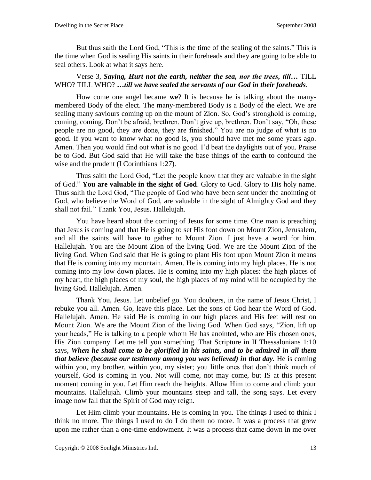But thus saith the Lord God, "This is the time of the sealing of the saints." This is the time when God is sealing His saints in their foreheads and they are going to be able to seal others. Look at what it says here.

# Verse 3, *Saying, Hurt not the earth, neither the sea, nor the trees, till…* TILL WHO? TILL WHO? *…till we have sealed the servants of our God in their foreheads.*

How come one angel became **we**? It is because he is talking about the manymembered Body of the elect. The many-membered Body is a Body of the elect. We are sealing many saviours coming up on the mount of Zion. So, God's stronghold is coming, coming, coming. Don't be afraid, brethren. Don't give up, brethren. Don't say, "Oh, these people are no good, they are done, they are finished." You are no judge of what is no good. If you want to know what no good is, you should have met me some years ago. Amen. Then you would find out what is no good. I'd beat the daylights out of you. Praise be to God. But God said that He will take the base things of the earth to confound the wise and the prudent (I Corinthians 1:27).

Thus saith the Lord God, "Let the people know that they are valuable in the sight of God." **You are valuable in the sight of God**. Glory to God. Glory to His holy name. Thus saith the Lord God, "The people of God who have been sent under the anointing of God, who believe the Word of God, are valuable in the sight of Almighty God and they shall not fail." Thank You, Jesus. Hallelujah.

You have heard about the coming of Jesus for some time. One man is preaching that Jesus is coming and that He is going to set His foot down on Mount Zion, Jerusalem, and all the saints will have to gather to Mount Zion. I just have a word for him. Hallelujah. You are the Mount Zion of the living God. We are the Mount Zion of the living God. When God said that He is going to plant His foot upon Mount Zion it means that He is coming into my mountain. Amen. He is coming into my high places. He is not coming into my low down places. He is coming into my high places: the high places of my heart, the high places of my soul, the high places of my mind will be occupied by the living God. Hallelujah. Amen.

Thank You, Jesus. Let unbelief go. You doubters, in the name of Jesus Christ, I rebuke you all. Amen. Go, leave this place. Let the sons of God hear the Word of God. Hallelujah. Amen. He said He is coming in our high places and His feet will rest on Mount Zion. We are the Mount Zion of the living God. When God says, "Zion, lift up your heads," He is talking to a people whom He has anointed, who are His chosen ones, His Zion company. Let me tell you something. That Scripture in II Thessalonians 1:10 says, *When he shall come to be glorified in his saints, and to be admired in all them that believe (because our testimony among you was believed) in that day.* He is coming within you, my brother, within you, my sister; you little ones that don't think much of yourself, God is coming in you. Not will come, not may come, but IS at this present moment coming in you. Let Him reach the heights. Allow Him to come and climb your mountains. Hallelujah. Climb your mountains steep and tall, the song says. Let every image now fall that the Spirit of God may reign.

Let Him climb your mountains. He is coming in you. The things I used to think I think no more. The things I used to do I do them no more. It was a process that grew upon me rather than a one-time endowment. It was a process that came down in me over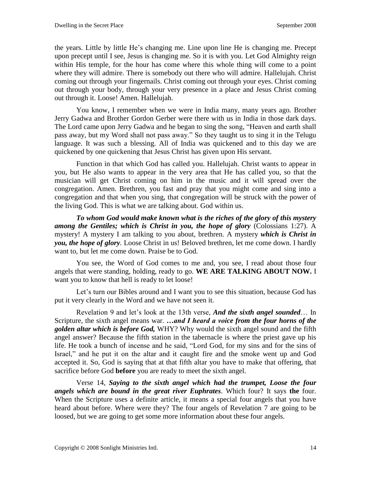the years. Little by little He's changing me. Line upon line He is changing me. Precept upon precept until I see, Jesus is changing me. So it is with you. Let God Almighty reign within His temple, for the hour has come where this whole thing will come to a point where they will admire. There is somebody out there who will admire. Hallelujah. Christ coming out through your fingernails. Christ coming out through your eyes. Christ coming out through your body, through your very presence in a place and Jesus Christ coming out through it. Loose! Amen. Hallelujah.

You know, I remember when we were in India many, many years ago. Brother Jerry Gadwa and Brother Gordon Gerber were there with us in India in those dark days. The Lord came upon Jerry Gadwa and he began to sing the song, "Heaven and earth shall pass away, but my Word shall not pass away." So they taught us to sing it in the Telugu language. It was such a blessing. All of India was quickened and to this day we are quickened by one quickening that Jesus Christ has given upon His servant.

Function in that which God has called you. Hallelujah. Christ wants to appear in you, but He also wants to appear in the very area that He has called you, so that the musician will get Christ coming on him in the music and it will spread over the congregation. Amen. Brethren, you fast and pray that you might come and sing into a congregation and that when you sing, that congregation will be struck with the power of the living God. This is what we are talking about. God within us.

*To whom God would make known what is the riches of the glory of this mystery among the Gentiles; which is Christ in you, the hope of glory* (Colossians 1:27). A mystery! A mystery I am talking to you about, brethren. A mystery *which is Christ in you, the hope of glory.* Loose Christ in us! Beloved brethren, let me come down. I hardly want to, but let me come down. Praise be to God.

You see, the Word of God comes to me and, you see, I read about those four angels that were standing, holding, ready to go. **WE ARE TALKING ABOUT NOW.** I want you to know that hell is ready to let loose!

Let's turn our Bibles around and I want you to see this situation, because God has put it very clearly in the Word and we have not seen it.

Revelation 9 and let's look at the 13th verse, *And the sixth angel sounded*… In Scripture, the sixth angel means war. *…and I heard a voice from the four horns of the golden altar which is before God,* WHY? Why would the sixth angel sound and the fifth angel answer? Because the fifth station in the tabernacle is where the priest gave up his life. He took a bunch of incense and he said, "Lord God, for my sins and for the sins of Israel," and he put it on the altar and it caught fire and the smoke went up and God accepted it. So, God is saying that at that fifth altar you have to make that offering, that sacrifice before God **before** you are ready to meet the sixth angel.

Verse 14, *Saying to the sixth angel which had the trumpet, Loose the four angels which are bound in the great river Euphrates*. Which four? It says **the** four. When the Scripture uses a definite article, it means a special four angels that you have heard about before. Where were they? The four angels of Revelation 7 are going to be loosed, but we are going to get some more information about these four angels.